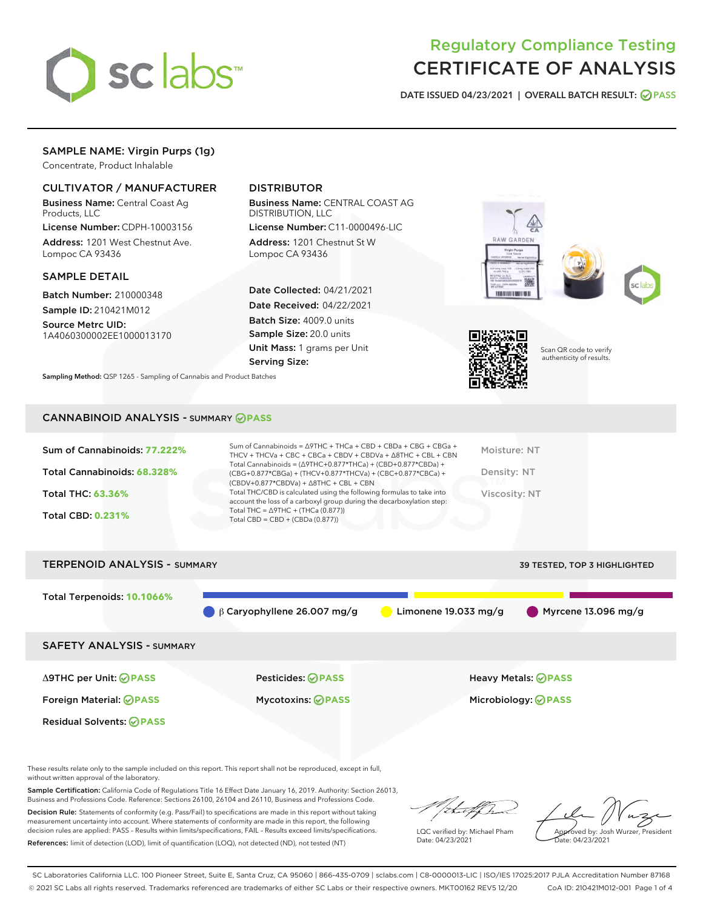

# Regulatory Compliance Testing CERTIFICATE OF ANALYSIS

DATE ISSUED 04/23/2021 | OVERALL BATCH RESULT: @ PASS

# SAMPLE NAME: Virgin Purps (1g)

Concentrate, Product Inhalable

# CULTIVATOR / MANUFACTURER

Business Name: Central Coast Ag Products, LLC

License Number: CDPH-10003156 Address: 1201 West Chestnut Ave. Lompoc CA 93436

## SAMPLE DETAIL

Batch Number: 210000348 Sample ID: 210421M012

Source Metrc UID: 1A4060300002EE1000013170

# DISTRIBUTOR

Business Name: CENTRAL COAST AG DISTRIBUTION, LLC

License Number: C11-0000496-LIC Address: 1201 Chestnut St W Lompoc CA 93436

Date Collected: 04/21/2021 Date Received: 04/22/2021 Batch Size: 4009.0 units Sample Size: 20.0 units Unit Mass: 1 grams per Unit Serving Size:









Scan QR code to verify authenticity of results.

Sampling Method: QSP 1265 - Sampling of Cannabis and Product Batches

## CANNABINOID ANALYSIS - SUMMARY **PASS**

| Sum of Cannabinoids: 77.222%<br>Total Cannabinoids: 68.328%<br>Total THC: 63.36%<br>Total CBD: 0.231% | Sum of Cannabinoids = $\triangle$ 9THC + THCa + CBD + CBDa + CBG + CBGa +<br>THCV + THCVa + CBC + CBCa + CBDV + CBDVa + $\land$ 8THC + CBL + CBN<br>Total Cannabinoids = $(\Delta$ 9THC+0.877*THCa) + (CBD+0.877*CBDa) +<br>$(CBG+0.877*CBGa) + (THCV+0.877*THCVa) + (CBC+0.877*CBCa) +$<br>$(CBDV+0.877*CBDVa) + \Delta 8THC + CBL + CBN$<br>Total THC/CBD is calculated using the following formulas to take into<br>account the loss of a carboxyl group during the decarboxylation step:<br>Total THC = $\triangle$ 9THC + (THCa (0.877))<br>Total CBD = $CBD + (CBDa (0.877))$ | Moisture: NT<br>Density: NT<br>Viscosity: NT |
|-------------------------------------------------------------------------------------------------------|-------------------------------------------------------------------------------------------------------------------------------------------------------------------------------------------------------------------------------------------------------------------------------------------------------------------------------------------------------------------------------------------------------------------------------------------------------------------------------------------------------------------------------------------------------------------------------------|----------------------------------------------|
| <b>TERPENOID ANALYSIS - SUMMARY</b>                                                                   |                                                                                                                                                                                                                                                                                                                                                                                                                                                                                                                                                                                     | <b>39 TESTED, TOP 3 HIGHLIGHTED</b>          |

Total Terpenoids: **10.1066%** β Caryophyllene 26.007 mg/g Limonene 19.033 mg/g Myrcene 13.096 mg/g SAFETY ANALYSIS - SUMMARY Δ9THC per Unit: **PASS** Pesticides: **PASS** Heavy Metals: **PASS** Foreign Material: **PASS** Mycotoxins: **PASS** Microbiology: **PASS** Residual Solvents: **PASS** 

These results relate only to the sample included on this report. This report shall not be reproduced, except in full, without written approval of the laboratory.

Sample Certification: California Code of Regulations Title 16 Effect Date January 16, 2019. Authority: Section 26013, Business and Professions Code. Reference: Sections 26100, 26104 and 26110, Business and Professions Code.

Decision Rule: Statements of conformity (e.g. Pass/Fail) to specifications are made in this report without taking measurement uncertainty into account. Where statements of conformity are made in this report, the following decision rules are applied: PASS – Results within limits/specifications, FAIL – Results exceed limits/specifications. References: limit of detection (LOD), limit of quantification (LOQ), not detected (ND), not tested (NT)

that f Tr

LQC verified by: Michael Pham Date: 04/23/2021

Approved by: Josh Wurzer, President ate: 04/23/2021

SC Laboratories California LLC. 100 Pioneer Street, Suite E, Santa Cruz, CA 95060 | 866-435-0709 | sclabs.com | C8-0000013-LIC | ISO/IES 17025:2017 PJLA Accreditation Number 87168 © 2021 SC Labs all rights reserved. Trademarks referenced are trademarks of either SC Labs or their respective owners. MKT00162 REV5 12/20 CoA ID: 210421M012-001 Page 1 of 4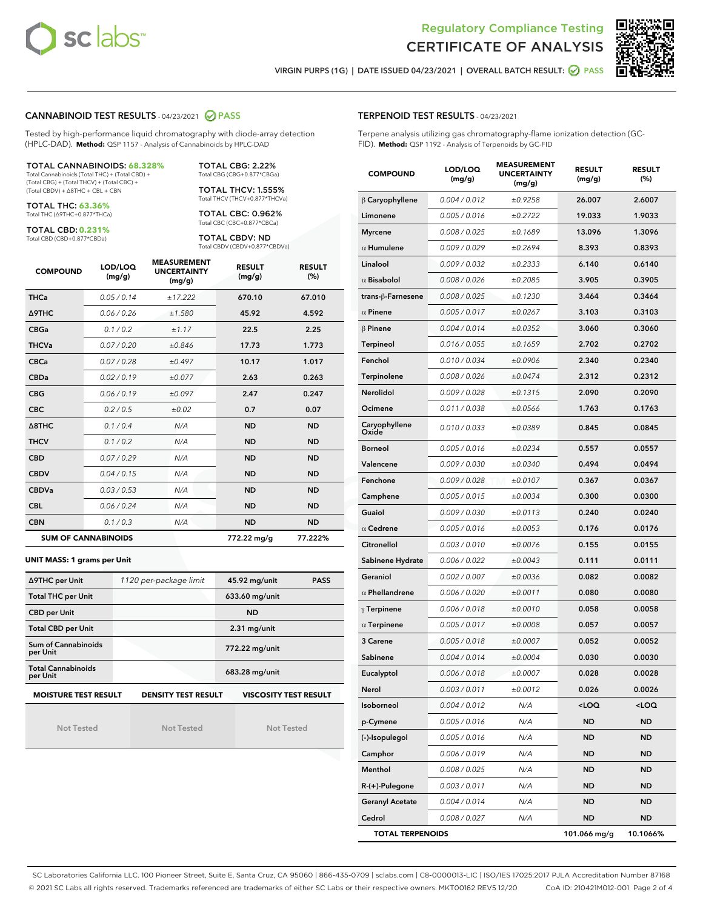



VIRGIN PURPS (1G) | DATE ISSUED 04/23/2021 | OVERALL BATCH RESULT:  $\bigcirc$  PASS

## CANNABINOID TEST RESULTS - 04/23/2021 2 PASS

Tested by high-performance liquid chromatography with diode-array detection (HPLC-DAD). **Method:** QSP 1157 - Analysis of Cannabinoids by HPLC-DAD

#### TOTAL CANNABINOIDS: **68.328%**

Total Cannabinoids (Total THC) + (Total CBD) + (Total CBG) + (Total THCV) + (Total CBC) + (Total CBDV) + ∆8THC + CBL + CBN

TOTAL THC: **63.36%** Total THC (∆9THC+0.877\*THCa)

TOTAL CBD: **0.231%**

Total CBD (CBD+0.877\*CBDa)

TOTAL CBG: 2.22% Total CBG (CBG+0.877\*CBGa)

TOTAL THCV: 1.555% Total THCV (THCV+0.877\*THCVa)

TOTAL CBC: 0.962% Total CBC (CBC+0.877\*CBCa)

TOTAL CBDV: ND Total CBDV (CBDV+0.877\*CBDVa)

| <b>COMPOUND</b>            | LOD/LOQ<br>(mg/g) | <b>MEASUREMENT</b><br><b>UNCERTAINTY</b><br>(mg/g) | <b>RESULT</b><br>(mg/g) | <b>RESULT</b><br>(%) |
|----------------------------|-------------------|----------------------------------------------------|-------------------------|----------------------|
| <b>THCa</b>                | 0.05/0.14         | ±17.222                                            | 670.10                  | 67.010               |
| <b>A9THC</b>               | 0.06 / 0.26       | ±1.580                                             | 45.92                   | 4.592                |
| <b>CBGa</b>                | 0.1/0.2           | ±1.17                                              | 22.5                    | 2.25                 |
| <b>THCVa</b>               | 0.07/0.20         | ±0.846                                             | 17.73                   | 1.773                |
| <b>CBCa</b>                | 0.07/0.28         | ±0.497                                             | 10.17                   | 1.017                |
| <b>CBDa</b>                | 0.02 / 0.19       | ±0.077                                             | 2.63                    | 0.263                |
| <b>CBG</b>                 | 0.06/0.19         | ±0.097                                             | 2.47                    | 0.247                |
| <b>CBC</b>                 | 0.2 / 0.5         | ±0.02                                              | 0.7                     | 0.07                 |
| $\triangle$ 8THC           | 0.1/0.4           | N/A                                                | <b>ND</b>               | <b>ND</b>            |
| <b>THCV</b>                | 0.1/0.2           | N/A                                                | <b>ND</b>               | <b>ND</b>            |
| <b>CBD</b>                 | 0.07/0.29         | N/A                                                | <b>ND</b>               | <b>ND</b>            |
| <b>CBDV</b>                | 0.04 / 0.15       | N/A                                                | <b>ND</b>               | <b>ND</b>            |
| <b>CBDVa</b>               | 0.03/0.53         | N/A                                                | <b>ND</b>               | <b>ND</b>            |
| <b>CBL</b>                 | 0.06 / 0.24       | N/A                                                | <b>ND</b>               | <b>ND</b>            |
| <b>CBN</b>                 | 0.1/0.3           | N/A                                                | <b>ND</b>               | <b>ND</b>            |
| <b>SUM OF CANNABINOIDS</b> |                   |                                                    | 772.22 mg/g             | 77.222%              |

#### **UNIT MASS: 1 grams per Unit**

| ∆9THC per Unit                        | 1120 per-package limit     | 45.92 mg/unit<br><b>PASS</b> |
|---------------------------------------|----------------------------|------------------------------|
| <b>Total THC per Unit</b>             |                            | 633.60 mg/unit               |
| <b>CBD per Unit</b>                   |                            | <b>ND</b>                    |
| <b>Total CBD per Unit</b>             |                            | $2.31$ mg/unit               |
| Sum of Cannabinoids<br>per Unit       |                            | 772.22 mg/unit               |
| <b>Total Cannabinoids</b><br>per Unit |                            | 683.28 mg/unit               |
| <b>MOISTURE TEST RESULT</b>           | <b>DENSITY TEST RESULT</b> | <b>VISCOSITY TEST RESULT</b> |

Not Tested

Not Tested

Not Tested

## TERPENOID TEST RESULTS - 04/23/2021

Terpene analysis utilizing gas chromatography-flame ionization detection (GC-FID). **Method:** QSP 1192 - Analysis of Terpenoids by GC-FID

| <b>COMPOUND</b>         | LOD/LOQ<br>(mg/g) | <b>MEASUREMENT</b><br><b>UNCERTAINTY</b><br>(mg/g) | <b>RESULT</b><br>(mg/g)                         | <b>RESULT</b><br>(%) |
|-------------------------|-------------------|----------------------------------------------------|-------------------------------------------------|----------------------|
| $\beta$ Caryophyllene   | 0.004 / 0.012     | ±0.9258                                            | 26.007                                          | 2.6007               |
| Limonene                | 0.005 / 0.016     | ±0.2722                                            | 19.033                                          | 1.9033               |
| <b>Myrcene</b>          | 0.008 / 0.025     | ±0.1689                                            | 13.096                                          | 1.3096               |
| $\alpha$ Humulene       | 0.009 / 0.029     | ±0.2694                                            | 8.393                                           | 0.8393               |
| Linalool                | 0.009 / 0.032     | ±0.2333                                            | 6.140                                           | 0.6140               |
| $\alpha$ Bisabolol      | 0.008 / 0.026     | ±0.2085                                            | 3.905                                           | 0.3905               |
| trans-ß-Farnesene       | 0.008 / 0.025     | ±0.1230                                            | 3.464                                           | 0.3464               |
| $\alpha$ Pinene         | 0.005 / 0.017     | ±0.0267                                            | 3.103                                           | 0.3103               |
| $\beta$ Pinene          | 0.004 / 0.014     | ±0.0352                                            | 3.060                                           | 0.3060               |
| <b>Terpineol</b>        | 0.016 / 0.055     | ±0.1659                                            | 2.702                                           | 0.2702               |
| Fenchol                 | 0.010 / 0.034     | ±0.0906                                            | 2.340                                           | 0.2340               |
| Terpinolene             | 0.008 / 0.026     | ±0.0474                                            | 2.312                                           | 0.2312               |
| Nerolidol               | 0.009 / 0.028     | ±0.1315                                            | 2.090                                           | 0.2090               |
| Ocimene                 | 0.011 / 0.038     | ±0.0566                                            | 1.763                                           | 0.1763               |
| Caryophyllene<br>Oxide  | 0.010 / 0.033     | ±0.0389                                            | 0.845                                           | 0.0845               |
| <b>Borneol</b>          | 0.005 / 0.016     | ±0.0234                                            | 0.557                                           | 0.0557               |
| Valencene               | 0.009 / 0.030     | ±0.0340                                            | 0.494                                           | 0.0494               |
| Fenchone                | 0.009 / 0.028     | ±0.0107                                            | 0.367                                           | 0.0367               |
| Camphene                | 0.005 / 0.015     | ±0.0034                                            | 0.300                                           | 0.0300               |
| Guaiol                  | 0.009 / 0.030     | ±0.0113                                            | 0.240                                           | 0.0240               |
| $\alpha$ Cedrene        | 0.005 / 0.016     | ±0.0053                                            | 0.176                                           | 0.0176               |
| Citronellol             | 0.003 / 0.010     | ±0.0076                                            | 0.155                                           | 0.0155               |
| Sabinene Hydrate        | 0.006 / 0.022     | ±0.0043                                            | 0.111                                           | 0.0111               |
| Geraniol                | 0.002 / 0.007     | ±0.0036                                            | 0.082                                           | 0.0082               |
| $\alpha$ Phellandrene   | 0.006 / 0.020     | ±0.0011                                            | 0.080                                           | 0.0080               |
| $\gamma$ Terpinene      | 0.006 / 0.018     | ±0.0010                                            | 0.058                                           | 0.0058               |
| $\alpha$ Terpinene      | 0.005 / 0.017     | ±0.0008                                            | 0.057                                           | 0.0057               |
| 3 Carene                | 0.005 / 0.018     | ±0.0007                                            | 0.052                                           | 0.0052               |
| Sabinene                | 0.004 / 0.014     | ±0.0004                                            | 0.030                                           | 0.0030               |
| Eucalyptol              | 0.006 / 0.018     | ±0.0007                                            | 0.028                                           | 0.0028               |
| Nerol                   | 0.003 / 0.011     | ±0.0012                                            | 0.026                                           | 0.0026               |
| Isoborneol              | 0.004 / 0.012     | N/A                                                | <loq< th=""><th><loq< th=""></loq<></th></loq<> | <loq< th=""></loq<>  |
| p-Cymene                | 0.005 / 0.016     | N/A                                                | ND                                              | <b>ND</b>            |
| (-)-Isopulegol          | 0.005 / 0.016     | N/A                                                | <b>ND</b>                                       | ND                   |
| Camphor                 | 0.006 / 0.019     | N/A                                                | ND                                              | ND                   |
| Menthol                 | 0.008 / 0.025     | N/A                                                | <b>ND</b>                                       | <b>ND</b>            |
| R-(+)-Pulegone          | 0.003 / 0.011     | N/A                                                | <b>ND</b>                                       | <b>ND</b>            |
| <b>Geranyl Acetate</b>  | 0.004 / 0.014     | N/A                                                | ND                                              | ND                   |
| Cedrol                  | 0.008 / 0.027     | N/A                                                | <b>ND</b>                                       | ND                   |
| <b>TOTAL TERPENOIDS</b> |                   |                                                    | 101.066 mg/g                                    | 10.1066%             |

SC Laboratories California LLC. 100 Pioneer Street, Suite E, Santa Cruz, CA 95060 | 866-435-0709 | sclabs.com | C8-0000013-LIC | ISO/IES 17025:2017 PJLA Accreditation Number 87168 © 2021 SC Labs all rights reserved. Trademarks referenced are trademarks of either SC Labs or their respective owners. MKT00162 REV5 12/20 CoA ID: 210421M012-001 Page 2 of 4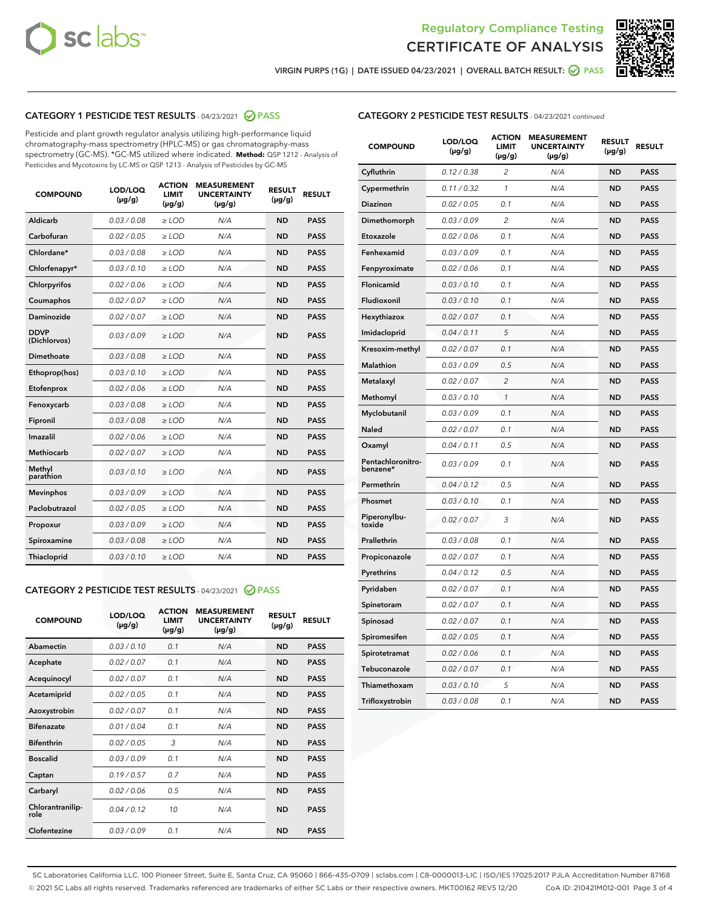



VIRGIN PURPS (1G) | DATE ISSUED 04/23/2021 | OVERALL BATCH RESULT:  $\bigcirc$  PASS

# CATEGORY 1 PESTICIDE TEST RESULTS - 04/23/2021 2 PASS

Pesticide and plant growth regulator analysis utilizing high-performance liquid chromatography-mass spectrometry (HPLC-MS) or gas chromatography-mass spectrometry (GC-MS). \*GC-MS utilized where indicated. **Method:** QSP 1212 - Analysis of Pesticides and Mycotoxins by LC-MS or QSP 1213 - Analysis of Pesticides by GC-MS

| <b>COMPOUND</b>             | LOD/LOQ<br>$(\mu g/g)$ | <b>ACTION</b><br><b>LIMIT</b><br>$(\mu g/g)$ | <b>MEASUREMENT</b><br><b>UNCERTAINTY</b><br>$(\mu g/g)$ | <b>RESULT</b><br>$(\mu g/g)$ | <b>RESULT</b> |
|-----------------------------|------------------------|----------------------------------------------|---------------------------------------------------------|------------------------------|---------------|
| Aldicarb                    | 0.03 / 0.08            | $\geq$ LOD                                   | N/A                                                     | <b>ND</b>                    | <b>PASS</b>   |
| Carbofuran                  | 0.02/0.05              | $>$ LOD                                      | N/A                                                     | <b>ND</b>                    | <b>PASS</b>   |
| Chlordane*                  | 0.03 / 0.08            | $\ge$ LOD                                    | N/A                                                     | <b>ND</b>                    | <b>PASS</b>   |
| Chlorfenapyr*               | 0.03/0.10              | $>$ LOD                                      | N/A                                                     | <b>ND</b>                    | <b>PASS</b>   |
| Chlorpyrifos                | 0.02 / 0.06            | $\ge$ LOD                                    | N/A                                                     | <b>ND</b>                    | <b>PASS</b>   |
| Coumaphos                   | 0.02 / 0.07            | $\ge$ LOD                                    | N/A                                                     | <b>ND</b>                    | <b>PASS</b>   |
| Daminozide                  | 0.02 / 0.07            | $\ge$ LOD                                    | N/A                                                     | <b>ND</b>                    | <b>PASS</b>   |
| <b>DDVP</b><br>(Dichlorvos) | 0.03/0.09              | $\ge$ LOD                                    | N/A                                                     | <b>ND</b>                    | <b>PASS</b>   |
| Dimethoate                  | 0.03/0.08              | $>$ LOD                                      | N/A                                                     | <b>ND</b>                    | <b>PASS</b>   |
| Ethoprop(hos)               | 0.03/0.10              | $\ge$ LOD                                    | N/A                                                     | <b>ND</b>                    | <b>PASS</b>   |
| Etofenprox                  | 0.02 / 0.06            | $\ge$ LOD                                    | N/A                                                     | <b>ND</b>                    | <b>PASS</b>   |
| Fenoxycarb                  | 0.03 / 0.08            | $\ge$ LOD                                    | N/A                                                     | <b>ND</b>                    | <b>PASS</b>   |
| Fipronil                    | 0.03/0.08              | $>$ LOD                                      | N/A                                                     | <b>ND</b>                    | <b>PASS</b>   |
| Imazalil                    | 0.02 / 0.06            | $\ge$ LOD                                    | N/A                                                     | <b>ND</b>                    | <b>PASS</b>   |
| <b>Methiocarb</b>           | 0.02 / 0.07            | $\ge$ LOD                                    | N/A                                                     | <b>ND</b>                    | <b>PASS</b>   |
| Methyl<br>parathion         | 0.03/0.10              | $\ge$ LOD                                    | N/A                                                     | <b>ND</b>                    | <b>PASS</b>   |
| <b>Mevinphos</b>            | 0.03/0.09              | $>$ LOD                                      | N/A                                                     | <b>ND</b>                    | <b>PASS</b>   |
| Paclobutrazol               | 0.02 / 0.05            | $\ge$ LOD                                    | N/A                                                     | <b>ND</b>                    | <b>PASS</b>   |
| Propoxur                    | 0.03/0.09              | $\ge$ LOD                                    | N/A                                                     | <b>ND</b>                    | <b>PASS</b>   |
| Spiroxamine                 | 0.03 / 0.08            | $\ge$ LOD                                    | N/A                                                     | <b>ND</b>                    | <b>PASS</b>   |
| Thiacloprid                 | 0.03/0.10              | $\ge$ LOD                                    | N/A                                                     | <b>ND</b>                    | <b>PASS</b>   |

### CATEGORY 2 PESTICIDE TEST RESULTS - 04/23/2021 @ PASS

| <b>COMPOUND</b>          | LOD/LOO<br>$(\mu g/g)$ | <b>ACTION</b><br>LIMIT<br>$(\mu g/g)$ | <b>MEASUREMENT</b><br><b>UNCERTAINTY</b><br>$(\mu g/g)$ | <b>RESULT</b><br>$(\mu g/g)$ | <b>RESULT</b> |
|--------------------------|------------------------|---------------------------------------|---------------------------------------------------------|------------------------------|---------------|
| Abamectin                | 0.03/0.10              | 0.1                                   | N/A                                                     | <b>ND</b>                    | <b>PASS</b>   |
| Acephate                 | 0.02/0.07              | 0.1                                   | N/A                                                     | <b>ND</b>                    | <b>PASS</b>   |
| Acequinocyl              | 0.02/0.07              | 0.1                                   | N/A                                                     | <b>ND</b>                    | <b>PASS</b>   |
| Acetamiprid              | 0.02/0.05              | 0.1                                   | N/A                                                     | <b>ND</b>                    | <b>PASS</b>   |
| Azoxystrobin             | 0.02/0.07              | 0.1                                   | N/A                                                     | <b>ND</b>                    | <b>PASS</b>   |
| <b>Bifenazate</b>        | 0.01 / 0.04            | 0.1                                   | N/A                                                     | <b>ND</b>                    | <b>PASS</b>   |
| <b>Bifenthrin</b>        | 0.02 / 0.05            | 3                                     | N/A                                                     | <b>ND</b>                    | <b>PASS</b>   |
| <b>Boscalid</b>          | 0.03/0.09              | 0.1                                   | N/A                                                     | <b>ND</b>                    | <b>PASS</b>   |
| Captan                   | 0.19/0.57              | 0.7                                   | N/A                                                     | <b>ND</b>                    | <b>PASS</b>   |
| Carbaryl                 | 0.02/0.06              | 0.5                                   | N/A                                                     | <b>ND</b>                    | <b>PASS</b>   |
| Chlorantranilip-<br>role | 0.04/0.12              | 10                                    | N/A                                                     | <b>ND</b>                    | <b>PASS</b>   |
| Clofentezine             | 0.03/0.09              | 0.1                                   | N/A                                                     | <b>ND</b>                    | <b>PASS</b>   |

# CATEGORY 2 PESTICIDE TEST RESULTS - 04/23/2021 continued

| <b>COMPOUND</b>               | LOD/LOQ<br>$(\mu g/g)$ | <b>ACTION</b><br>LIMIT<br>$(\mu g/g)$ | <b>MEASUREMENT</b><br><b>UNCERTAINTY</b><br>(µg/g) | <b>RESULT</b><br>(µg/g) | <b>RESULT</b> |
|-------------------------------|------------------------|---------------------------------------|----------------------------------------------------|-------------------------|---------------|
| Cyfluthrin                    | 0.12 / 0.38            | 2                                     | N/A                                                | ND                      | <b>PASS</b>   |
| Cypermethrin                  | 0.11 / 0.32            | $\mathbf{1}$                          | N/A                                                | <b>ND</b>               | <b>PASS</b>   |
| <b>Diazinon</b>               | 0.02 / 0.05            | 0.1                                   | N/A                                                | ND                      | <b>PASS</b>   |
| Dimethomorph                  | 0.03 / 0.09            | 2                                     | N/A                                                | ND                      | <b>PASS</b>   |
| Etoxazole                     | 0.02 / 0.06            | 0.1                                   | N/A                                                | ND                      | <b>PASS</b>   |
| Fenhexamid                    | 0.03 / 0.09            | 0.1                                   | N/A                                                | ND                      | <b>PASS</b>   |
| Fenpyroximate                 | 0.02 / 0.06            | 0.1                                   | N/A                                                | ND                      | <b>PASS</b>   |
| Flonicamid                    | 0.03 / 0.10            | 0.1                                   | N/A                                                | <b>ND</b>               | <b>PASS</b>   |
| Fludioxonil                   | 0.03 / 0.10            | 0.1                                   | N/A                                                | ND                      | <b>PASS</b>   |
| Hexythiazox                   | 0.02 / 0.07            | 0.1                                   | N/A                                                | ND                      | <b>PASS</b>   |
| Imidacloprid                  | 0.04 / 0.11            | 5                                     | N/A                                                | <b>ND</b>               | <b>PASS</b>   |
| Kresoxim-methyl               | 0.02 / 0.07            | 0.1                                   | N/A                                                | <b>ND</b>               | <b>PASS</b>   |
| Malathion                     | 0.03 / 0.09            | 0.5                                   | N/A                                                | ND                      | <b>PASS</b>   |
| Metalaxyl                     | 0.02 / 0.07            | $\overline{c}$                        | N/A                                                | <b>ND</b>               | <b>PASS</b>   |
| Methomyl                      | 0.03 / 0.10            | 1                                     | N/A                                                | <b>ND</b>               | <b>PASS</b>   |
| Myclobutanil                  | 0.03 / 0.09            | 0.1                                   | N/A                                                | ND                      | <b>PASS</b>   |
| Naled                         | 0.02 / 0.07            | 0.1                                   | N/A                                                | ND                      | <b>PASS</b>   |
| Oxamyl                        | 0.04/0.11              | 0.5                                   | N/A                                                | ND                      | <b>PASS</b>   |
| Pentachloronitro-<br>benzene* | 0.03 / 0.09            | 0.1                                   | N/A                                                | ND                      | PASS          |
| Permethrin                    | 0.04 / 0.12            | 0.5                                   | N/A                                                | <b>ND</b>               | <b>PASS</b>   |
| Phosmet                       | 0.03/0.10              | 0.1                                   | N/A                                                | ND                      | <b>PASS</b>   |
| Piperonylbu-<br>toxide        | 0.02 / 0.07            | 3                                     | N/A                                                | ND                      | <b>PASS</b>   |
| Prallethrin                   | 0.03 / 0.08            | 0.1                                   | N/A                                                | ND                      | <b>PASS</b>   |
| Propiconazole                 | 0.02 / 0.07            | 0.1                                   | N/A                                                | ND                      | PASS          |
| Pyrethrins                    | 0.04 / 0.12            | 0.5                                   | N/A                                                | ND                      | <b>PASS</b>   |
| Pyridaben                     | 0.02 / 0.07            | 0.1                                   | N/A                                                | ND                      | PASS          |
| Spinetoram                    | 0.02 / 0.07            | 0.1                                   | N/A                                                | ND                      | PASS          |
| Spinosad                      | 0.02 / 0.07            | 0.1                                   | N/A                                                | <b>ND</b>               | <b>PASS</b>   |
| Spiromesifen                  | 0.02 / 0.05            | 0.1                                   | N/A                                                | ND                      | PASS          |
| Spirotetramat                 | 0.02 / 0.06            | 0.1                                   | N/A                                                | ND                      | <b>PASS</b>   |
| Tebuconazole                  | 0.02 / 0.07            | 0.1                                   | N/A                                                | ND                      | <b>PASS</b>   |
| Thiamethoxam                  | 0.03 / 0.10            | 5                                     | N/A                                                | ND                      | <b>PASS</b>   |
| Trifloxystrobin               | 0.03 / 0.08            | 0.1                                   | N/A                                                | <b>ND</b>               | <b>PASS</b>   |

SC Laboratories California LLC. 100 Pioneer Street, Suite E, Santa Cruz, CA 95060 | 866-435-0709 | sclabs.com | C8-0000013-LIC | ISO/IES 17025:2017 PJLA Accreditation Number 87168 © 2021 SC Labs all rights reserved. Trademarks referenced are trademarks of either SC Labs or their respective owners. MKT00162 REV5 12/20 CoA ID: 210421M012-001 Page 3 of 4